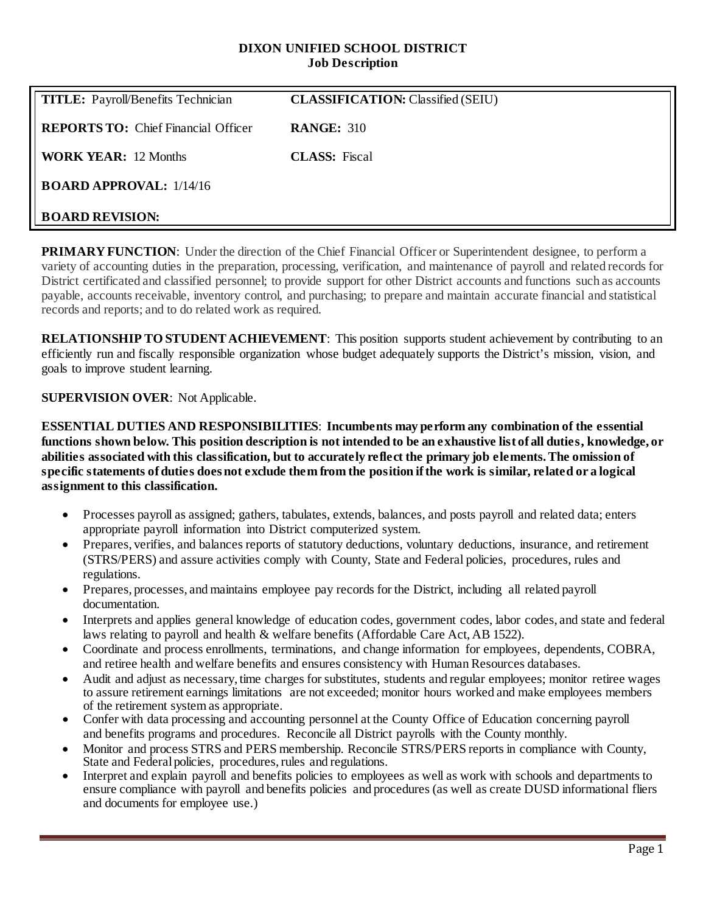# **DIXON UNIFIED SCHOOL DISTRICT Job Description**

| <b>TITLE:</b> Payroll/Benefits Technician  | <b>CLASSIFICATION: Classified (SEIU)</b> |
|--------------------------------------------|------------------------------------------|
| <b>REPORTS TO:</b> Chief Financial Officer | <b>RANGE: 310</b>                        |
| <b>WORK YEAR:</b> 12 Months                | <b>CLASS:</b> Fiscal                     |
| <b>BOARD APPROVAL:</b> $1/14/16$           |                                          |
| <b>BOARD REVISION:</b>                     |                                          |

**PRIMARY FUNCTION:** Under the direction of the Chief Financial Officer or Superintendent designee, to perform a variety of accounting duties in the preparation, processing, verification, and maintenance of payroll and related records for District certificated and classified personnel; to provide support for other District accounts and functions such as accounts payable, accounts receivable, inventory control, and purchasing; to prepare and maintain accurate financial and statistical records and reports; and to do related work as required.

**RELATIONSHIP TO STUDENT ACHIEVEMENT:** This position supports student achievement by contributing to an efficiently run and fiscally responsible organization whose budget adequately supports the District's mission, vision, and goals to improve student learning.

**SUPERVISION OVER**: Not Applicable.

**ESSENTIAL DUTIES AND RESPONSIBILITIES**: **Incumbents may perform any combination of the essential functions shown below. This position description is not intended to be an exhaustive list of all duties, knowledge, or abilities associated with this classification, but to accurately reflect the primary job elements. The omission of specific statements of duties does not exclude them from the position if the work is similar, related or a logical assignment to this classification.**

- Processes payroll as assigned; gathers, tabulates, extends, balances, and posts payroll and related data; enters appropriate payroll information into District computerized system.
- Prepares, verifies, and balances reports of statutory deductions, voluntary deductions, insurance, and retirement (STRS/PERS) and assure activities comply with County, State and Federal policies, procedures, rules and regulations.
- Prepares, processes, and maintains employee pay records for the District, including all related payroll documentation.
- Interprets and applies general knowledge of education codes, government codes, labor codes, and state and federal laws relating to payroll and health & welfare benefits (Affordable Care Act, AB 1522).
- Coordinate and process enrollments, terminations, and change information for employees, dependents, COBRA, and retiree health and welfare benefits and ensures consistency with Human Resources databases.
- Audit and adjust as necessary, time charges for substitutes, students and regular employees; monitor retiree wages to assure retirement earnings limitations are not exceeded; monitor hours worked and make employees members of the retirement systemas appropriate.
- Confer with data processing and accounting personnel at the County Office of Education concerning payroll and benefits programs and procedures. Reconcile all District payrolls with the County monthly.
- Monitor and process STRS and PERS membership. Reconcile STRS/PERS reports in compliance with County, State and Federal policies, procedures, rules and regulations.
- Interpret and explain payroll and benefits policies to employees as well as work with schools and departments to ensure compliance with payroll and benefits policies and procedures (as well as create DUSD informational fliers and documents for employee use.)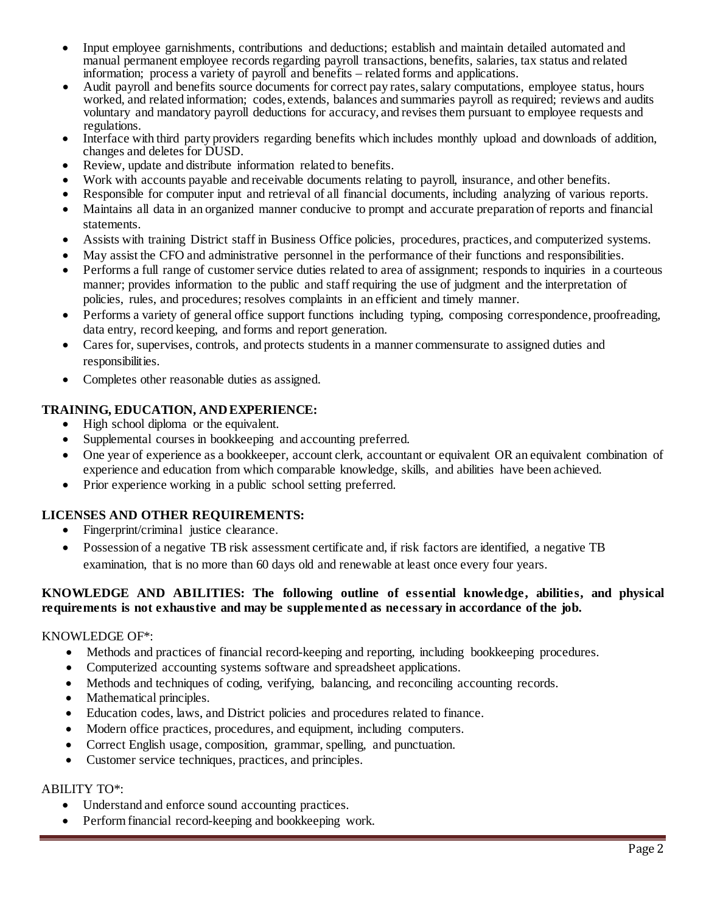- Input employee garnishments, contributions and deductions; establish and maintain detailed automated and manual permanent employee records regarding payroll transactions, benefits, salaries, tax status and related information; process a variety of payroll and benefits – related forms and applications.
- Audit payroll and benefits source documents for correct pay rates, salary computations, employee status, hours worked, and related information; codes, extends, balances and summaries payroll as required; reviews and audits voluntary and mandatory payroll deductions for accuracy, and revises them pursuant to employee requests and regulations.
- Interface with third party providers regarding benefits which includes monthly upload and downloads of addition, changes and deletes for DUSD.
- Review, update and distribute information related to benefits.
- Work with accounts payable and receivable documents relating to payroll, insurance, and other benefits.
- Responsible for computer input and retrieval of all financial documents, including analyzing of various reports.
- Maintains all data in an organized manner conducive to prompt and accurate preparation of reports and financial statements.
- Assists with training District staff in Business Office policies, procedures, practices, and computerized systems.
- May assist the CFO and administrative personnel in the performance of their functions and responsibilities.
- Performs a full range of customer service duties related to area of assignment; responds to inquiries in a courteous manner; provides information to the public and staff requiring the use of judgment and the interpretation of policies, rules, and procedures; resolves complaints in an efficient and timely manner.
- Performs a variety of general office support functions including typing, composing correspondence, proofreading, data entry, record keeping, and forms and report generation.
- Cares for, supervises, controls, and protects students in a manner commensurate to assigned duties and responsibilities.
- Completes other reasonable duties as assigned.

# **TRAINING, EDUCATION, AND EXPERIENCE:**

- High school diploma or the equivalent.
- Supplemental courses in bookkeeping and accounting preferred.
- One year of experience as a bookkeeper, account clerk, accountant or equivalent OR an equivalent combination of experience and education from which comparable knowledge, skills, and abilities have been achieved.
- Prior experience working in a public school setting preferred.

# **LICENSES AND OTHER REQUIREMENTS:**

- Fingerprint/criminal justice clearance.
- Possession of a negative TB risk assessment certificate and, if risk factors are identified, a negative TB examination, that is no more than 60 days old and renewable at least once every four years.

# **KNOWLEDGE AND ABILITIES: The following outline of essential knowledge, abilities, and physical requirements is not exhaustive and may be supplemented as necessary in accordance of the job.**

#### KNOWLEDGE OF\*:

- Methods and practices of financial record-keeping and reporting, including bookkeeping procedures.
- Computerized accounting systems software and spreadsheet applications.
- Methods and techniques of coding, verifying, balancing, and reconciling accounting records.
- Mathematical principles.
- Education codes, laws, and District policies and procedures related to finance.
- Modern office practices, procedures, and equipment, including computers.
- Correct English usage, composition, grammar, spelling, and punctuation.
- Customer service techniques, practices, and principles.

# ABILITY TO\*:

- Understand and enforce sound accounting practices.
- Perform financial record-keeping and bookkeeping work.